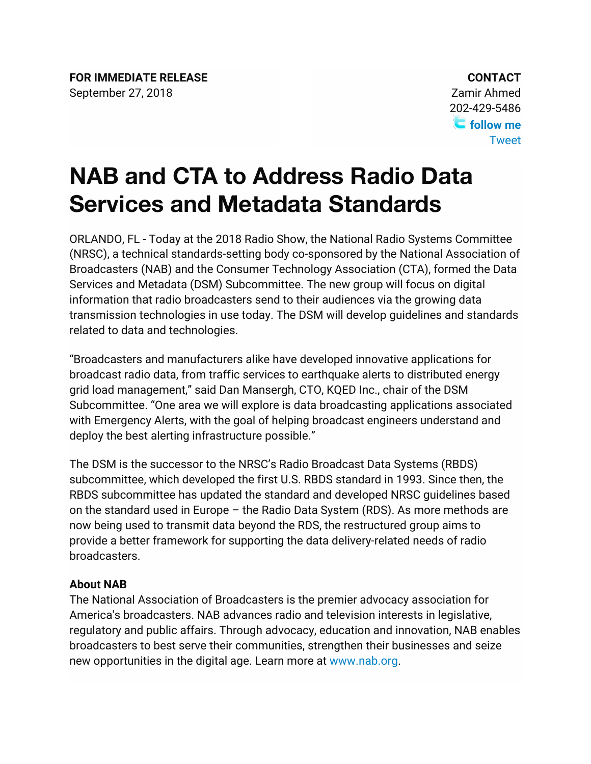## **NAB and CTA to Address Radio Data Services and Metadata Standards**

ORLANDO, FL - Today at the 2018 Radio Show, the National Radio Systems Committee (NRSC), a technical standards-setting body co-sponsored by the National Association of Broadcasters (NAB) and the Consumer Technology Association (CTA), formed the Data Services and Metadata (DSM) Subcommittee. The new group will focus on digital information that radio broadcasters send to their audiences via the growing data transmission technologies in use today. The DSM will develop guidelines and standards related to data and technologies.

"Broadcasters and manufacturers alike have developed innovative applications for broadcast radio data, from traffic services to earthquake alerts to distributed energy grid load management," said Dan Mansergh, CTO, KQED Inc., chair of the DSM Subcommittee. "One area we will explore is data broadcasting applications associated with Emergency Alerts, with the goal of helping broadcast engineers understand and deploy the best alerting infrastructure possible."

The DSM is the successor to the NRSC's Radio Broadcast Data Systems (RBDS) subcommittee, which developed the first U.S. RBDS standard in 1993. Since then, the RBDS subcommittee has updated the standard and developed NRSC guidelines based on the standard used in Europe – the Radio Data System (RDS). As more methods are now being used to transmit data beyond the RDS, the restructured group aims to provide a better framework for supporting the data delivery-related needs of radio broadcasters.

## **About NAB**

The National Association of Broadcasters is the premier advocacy association for America's broadcasters. NAB advances radio and television interests in legislative, regulatory and public affairs. Through advocacy, education and innovation, NAB enables broadcasters to best serve their communities, strengthen their businesses and seize new opportunities in the digital age. Learn more at www.nab.org.